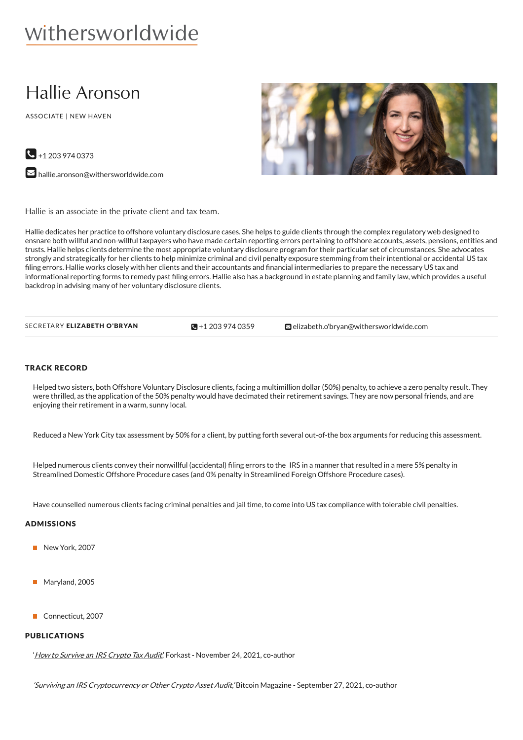# withersworldwide

# Hallie Aronson

ASSOCIATE | NEW HAVEN



 $\bigodot$  +1 203 974 0373

**M** [hallie.aronson@withersworldwide.com](mailto:hallie.aronson@withersworldwide.com?subject=Website Enquiry - Profile Page)

Hallie is an associate in the private client and tax team.

Hallie dedicates her practice to offshore voluntary disclosure cases. She helps to guide clients through the complex regulatory web designed to ensnare both willful and non-willful taxpayers who have made certain reporting errors pertaining to offshore accounts, assets, pensions, entities and trusts. Hallie helps clients determine the most appropriate voluntary disclosure program for their particular set of circumstances. She advocates strongly and strategically for her clients to help minimize criminal and civil penalty exposure stemming from their intentional or accidental US tax filing errors. Hallie works closely with her clients and their accountants and financial intermediaries to prepare the necessary US tax and informational reporting forms to remedy past filing errors. Hallie also has a background in estate planning and family law, which provides a useful backdrop in advising many of her voluntary disclosure clients.

 $\blacksquare$  +1 203 974 0359

SECRETARY ELIZABETH O'BRYAN  $\bigcirc$ +1 203 974 [0359](tel:+1 203 974 0359) [elizabeth.o'bryan@withersworldwide.com](mailto:elizabeth.o)

#### TRACK RECORD

Helped two sisters, both Offshore Voluntary Disclosure clients, facing a multimillion dollar (50%) penalty, to achieve a zero penalty result. They were thrilled, as the application of the 50% penalty would have decimated their retirement savings. They are now personal friends, and are enjoying their retirement in a warm, sunny local.

Reduced a New York City tax assessment by 50% for a client, by putting forth several out-of-the box arguments for reducing this assessment.

Helped numerous clients convey their nonwillful (accidental) filing errors to the IRS in a manner that resulted in a mere 5% penalty in Streamlined Domestic Offshore Procedure cases (and 0% penalty in Streamlined Foreign Offshore Procedure cases).

Have counselled numerous clients facing criminal penalties and jail time, to come into US tax compliance with tolerable civil penalties.

## ADMISSIONS

- New York, 2007
- Maryland, 2005
- Connecticut, 2007

#### PUBLICATIONS

' How to Survive an IRS [Crypto](https://forkast.news/how-to-survive-an-irs-crypto-tax-audit/) Tax Audit', Forkast - November 24, 2021, co-author

'Surviving an IRS Cryptocurrency or Other Crypto Asset Audit,' Bitcoin Magazine - September 27, 2021, co-author